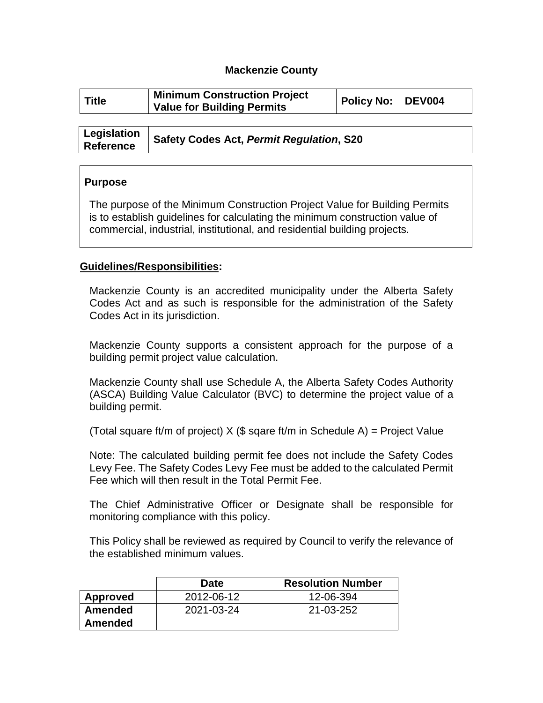### **Mackenzie County**

| <b>Title</b> | <b>Minimum Construction Project</b><br><b>Value for Building Permits</b> | Policy No: DEV004 |  |
|--------------|--------------------------------------------------------------------------|-------------------|--|
|              |                                                                          |                   |  |

| Legislation<br><b>Reference</b> | Safety Codes Act, Permit Regulation, S20 |
|---------------------------------|------------------------------------------|

#### **Purpose**

The purpose of the Minimum Construction Project Value for Building Permits is to establish guidelines for calculating the minimum construction value of commercial, industrial, institutional, and residential building projects.

#### **Guidelines/Responsibilities:**

Mackenzie County is an accredited municipality under the Alberta Safety Codes Act and as such is responsible for the administration of the Safety Codes Act in its jurisdiction.

Mackenzie County supports a consistent approach for the purpose of a building permit project value calculation.

Mackenzie County shall use Schedule A, the Alberta Safety Codes Authority (ASCA) Building Value Calculator (BVC) to determine the project value of a building permit.

(Total square ft/m of project)  $X$  (\$ sqare ft/m in Schedule A) = Project Value

Note: The calculated building permit fee does not include the Safety Codes Levy Fee. The Safety Codes Levy Fee must be added to the calculated Permit Fee which will then result in the Total Permit Fee.

The Chief Administrative Officer or Designate shall be responsible for monitoring compliance with this policy.

This Policy shall be reviewed as required by Council to verify the relevance of the established minimum values.

|                | <b>Date</b> | <b>Resolution Number</b> |
|----------------|-------------|--------------------------|
| Approved       | 2012-06-12  | 12-06-394                |
| <b>Amended</b> | 2021-03-24  | 21-03-252                |
| <b>Amended</b> |             |                          |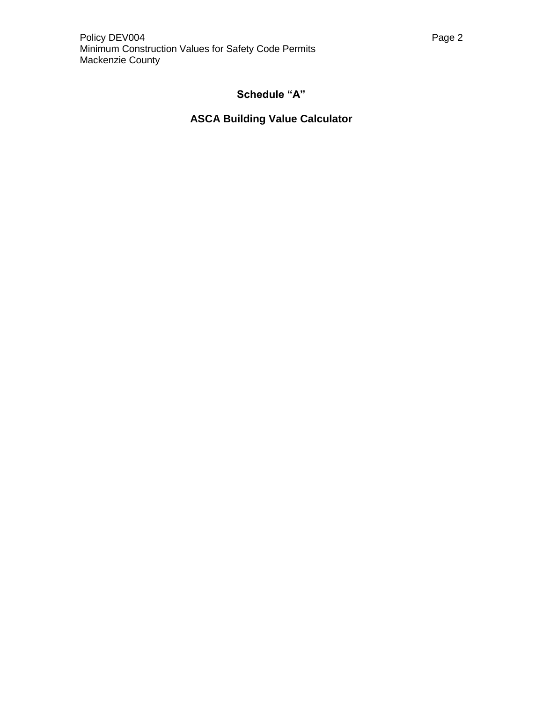## **ASCA Building Value Calculator**